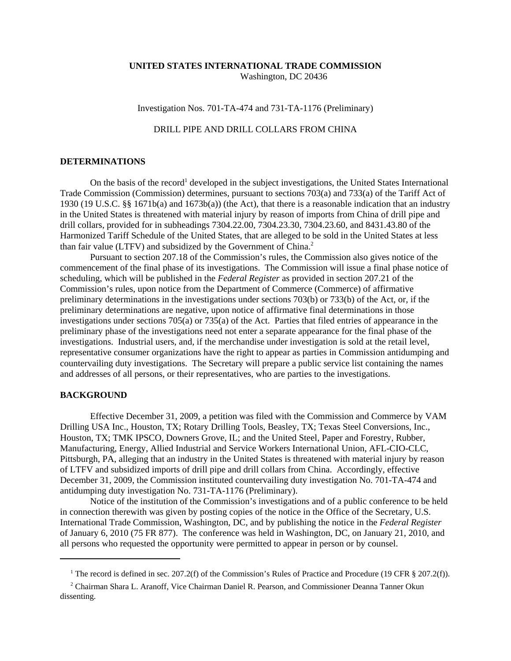## **UNITED STATES INTERNATIONAL TRADE COMMISSION** Washington, DC 20436

Investigation Nos. 701-TA-474 and 731-TA-1176 (Preliminary)

## DRILL PIPE AND DRILL COLLARS FROM CHINA

## **DETERMINATIONS**

On the basis of the record<sup>1</sup> developed in the subject investigations, the United States International Trade Commission (Commission) determines, pursuant to sections 703(a) and 733(a) of the Tariff Act of 1930 (19 U.S.C. §§ 1671b(a) and 1673b(a)) (the Act), that there is a reasonable indication that an industry in the United States is threatened with material injury by reason of imports from China of drill pipe and drill collars, provided for in subheadings 7304.22.00, 7304.23.30, 7304.23.60, and 8431.43.80 of the Harmonized Tariff Schedule of the United States, that are alleged to be sold in the United States at less than fair value (LTFV) and subsidized by the Government of China.<sup>2</sup>

Pursuant to section 207.18 of the Commission's rules, the Commission also gives notice of the commencement of the final phase of its investigations. The Commission will issue a final phase notice of scheduling, which will be published in the *Federal Register* as provided in section 207.21 of the Commission's rules, upon notice from the Department of Commerce (Commerce) of affirmative preliminary determinations in the investigations under sections 703(b) or 733(b) of the Act, or, if the preliminary determinations are negative, upon notice of affirmative final determinations in those investigations under sections 705(a) or 735(a) of the Act. Parties that filed entries of appearance in the preliminary phase of the investigations need not enter a separate appearance for the final phase of the investigations. Industrial users, and, if the merchandise under investigation is sold at the retail level, representative consumer organizations have the right to appear as parties in Commission antidumping and countervailing duty investigations. The Secretary will prepare a public service list containing the names and addresses of all persons, or their representatives, who are parties to the investigations.

## **BACKGROUND**

Effective December 31, 2009, a petition was filed with the Commission and Commerce by VAM Drilling USA Inc., Houston, TX; Rotary Drilling Tools, Beasley, TX; Texas Steel Conversions, Inc., Houston, TX; TMK IPSCO, Downers Grove, IL; and the United Steel, Paper and Forestry, Rubber, Manufacturing, Energy, Allied Industrial and Service Workers International Union, AFL-CIO-CLC, Pittsburgh, PA, alleging that an industry in the United States is threatened with material injury by reason of LTFV and subsidized imports of drill pipe and drill collars from China. Accordingly, effective December 31, 2009, the Commission instituted countervailing duty investigation No. 701-TA-474 and antidumping duty investigation No. 731-TA-1176 (Preliminary).

Notice of the institution of the Commission's investigations and of a public conference to be held in connection therewith was given by posting copies of the notice in the Office of the Secretary, U.S. International Trade Commission, Washington, DC, and by publishing the notice in the *Federal Register* of January 6, 2010 (75 FR 877). The conference was held in Washington, DC, on January 21, 2010, and all persons who requested the opportunity were permitted to appear in person or by counsel.

<sup>&</sup>lt;sup>1</sup> The record is defined in sec. 207.2(f) of the Commission's Rules of Practice and Procedure (19 CFR § 207.2(f)).

<sup>&</sup>lt;sup>2</sup> Chairman Shara L. Aranoff, Vice Chairman Daniel R. Pearson, and Commissioner Deanna Tanner Okun dissenting.